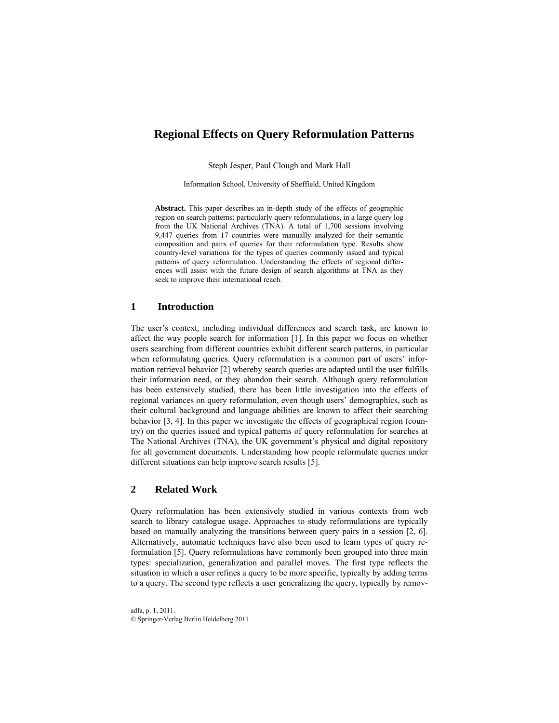# **Regional Effects on Query Reformulation Patterns**

Steph Jesper, Paul Clough and Mark Hall

Information School, University of Sheffield, United Kingdom

**Abstract.** This paper describes an in-depth study of the effects of geographic region on search patterns; particularly query reformulations, in a large query log from the UK National Archives (TNA). A total of 1,700 sessions involving 9,447 queries from 17 countries were manually analyzed for their semantic composition and pairs of queries for their reformulation type. Results show country-level variations for the types of queries commonly issued and typical patterns of query reformulation. Understanding the effects of regional differences will assist with the future design of search algorithms at TNA as they seek to improve their international reach.

#### **1 Introduction**

The user's context, including individual differences and search task, are known to affect the way people search for information [1]. In this paper we focus on whether users searching from different countries exhibit different search patterns, in particular when reformulating queries. Query reformulation is a common part of users' information retrieval behavior [2] whereby search queries are adapted until the user fulfills their information need, or they abandon their search. Although query reformulation has been extensively studied, there has been little investigation into the effects of regional variances on query reformulation, even though users' demographics, such as their cultural background and language abilities are known to affect their searching behavior [3, 4]. In this paper we investigate the effects of geographical region (country) on the queries issued and typical patterns of query reformulation for searches at The National Archives (TNA), the UK government's physical and digital repository for all government documents. Understanding how people reformulate queries under different situations can help improve search results [5].

# **2 Related Work**

Query reformulation has been extensively studied in various contexts from web search to library catalogue usage. Approaches to study reformulations are typically based on manually analyzing the transitions between query pairs in a session [2, 6]. Alternatively, automatic techniques have also been used to learn types of query reformulation [5]. Query reformulations have commonly been grouped into three main types: specialization, generalization and parallel moves. The first type reflects the situation in which a user refines a query to be more specific, typically by adding terms to a query. The second type reflects a user generalizing the query, typically by remov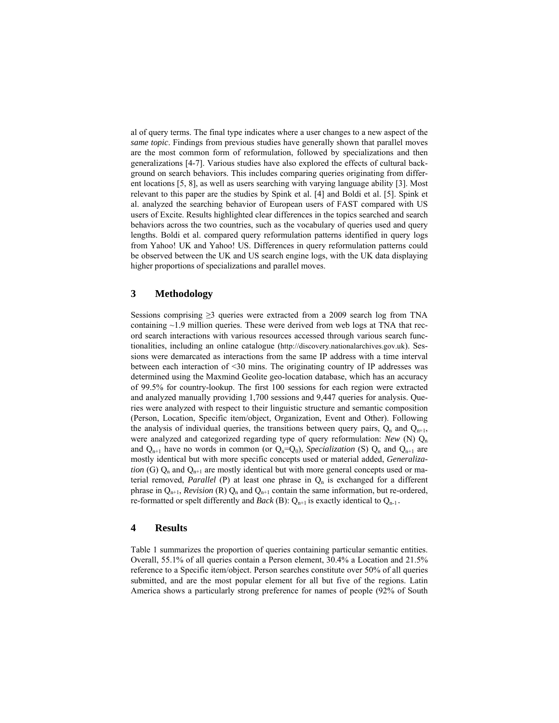al of query terms. The final type indicates where a user changes to a new aspect of the *same topic*. Findings from previous studies have generally shown that parallel moves are the most common form of reformulation, followed by specializations and then generalizations [4-7]. Various studies have also explored the effects of cultural background on search behaviors. This includes comparing queries originating from different locations [5, 8], as well as users searching with varying language ability [3]. Most relevant to this paper are the studies by Spink et al. [4] and Boldi et al. [5]. Spink et al. analyzed the searching behavior of European users of FAST compared with US users of Excite. Results highlighted clear differences in the topics searched and search behaviors across the two countries, such as the vocabulary of queries used and query lengths. Boldi et al. compared query reformulation patterns identified in query logs from Yahoo! UK and Yahoo! US. Differences in query reformulation patterns could be observed between the UK and US search engine logs, with the UK data displaying higher proportions of specializations and parallel moves.

# **3 Methodology**

Sessions comprising  $\geq$ 3 queries were extracted from a 2009 search log from TNA containing  $\sim$ 1.9 million queries. These were derived from web logs at TNA that record search interactions with various resources accessed through various search functionalities, including an online catalogue (http://discovery.nationalarchives.gov.uk). Sessions were demarcated as interactions from the same IP address with a time interval between each interaction of <30 mins. The originating country of IP addresses was determined using the Maxmind Geolite geo-location database, which has an accuracy of 99.5% for country-lookup. The first 100 sessions for each region were extracted and analyzed manually providing 1,700 sessions and 9,447 queries for analysis. Queries were analyzed with respect to their linguistic structure and semantic composition (Person, Location, Specific item/object, Organization, Event and Other). Following the analysis of individual queries, the transitions between query pairs,  $Q_n$  and  $Q_{n+1}$ , were analyzed and categorized regarding type of query reformulation: *New* (N) Q<sub>n</sub> and  $Q_{n+1}$  have no words in common (or  $Q_n = Q_0$ ), *Specialization* (S)  $Q_n$  and  $Q_{n+1}$  are mostly identical but with more specific concepts used or material added, *Generalization* (G)  $Q_n$  and  $Q_{n+1}$  are mostly identical but with more general concepts used or material removed, *Parallel* (P) at least one phrase in  $Q_n$  is exchanged for a different phrase in  $Q_{n+1}$ , *Revision* (R)  $Q_n$  and  $Q_{n+1}$  contain the same information, but re-ordered, re-formatted or spelt differently and *Back* (B):  $Q_{n+1}$  is exactly identical to  $Q_{n-1}$ .

#### **4 Results**

Table 1 summarizes the proportion of queries containing particular semantic entities. Overall, 55.1% of all queries contain a Person element, 30.4% a Location and 21.5% reference to a Specific item/object. Person searches constitute over 50% of all queries submitted, and are the most popular element for all but five of the regions. Latin America shows a particularly strong preference for names of people (92% of South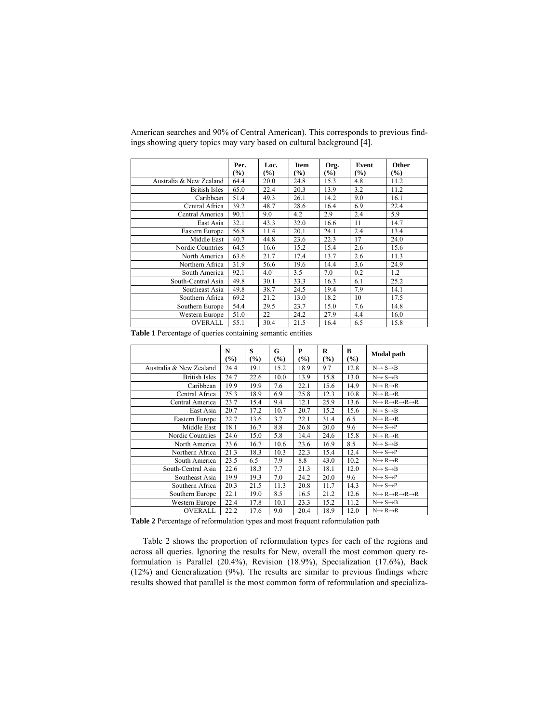|                         | Per.<br>$\frac{9}{6}$ | Loc.<br>$(\%)$ | <b>Item</b><br>$\frac{9}{6}$ | Org.<br>(%) | Event<br>$\left(\frac{0}{0}\right)$ | Other<br>$(\%)$ |
|-------------------------|-----------------------|----------------|------------------------------|-------------|-------------------------------------|-----------------|
| Australia & New Zealand | 64.4                  | 20.0           | 24.8                         | 15.3        | 4.8                                 | 11.2            |
| <b>British Isles</b>    | 65.0                  | 22.4           | 20.3                         | 13.9        | 3.2                                 | 11.2            |
| Caribbean               | 51.4                  | 49.3           | 26.1                         | 14.2        | 9.0                                 | 16.1            |
| Central Africa          | 39.2                  | 48.7           | 28.6                         | 16.4        | 6.9                                 | 22.4            |
| Central America         | 90.1                  | 9.0            | 4.2                          | 2.9         | 2.4                                 | 5.9             |
| East Asia               | 32.1                  | 43.3           | 32.0                         | 16.6        | 11                                  | 14.7            |
| Eastern Europe          | 56.8                  | 11.4           | 20.1                         | 24.1        | 2.4                                 | 13.4            |
| Middle East             | 40.7                  | 44.8           | 23.6                         | 22.3        | 17                                  | 24.0            |
| Nordic Countries        | 64.5                  | 16.6           | 15.2                         | 15.4        | 2.6                                 | 15.6            |
| North America           | 63.6                  | 21.7           | 17.4                         | 13.7        | 2.6                                 | 11.3            |
| Northern Africa         | 31.9                  | 56.6           | 19.6                         | 14.4        | 3.6                                 | 24.9            |
| South America           | 92.1                  | 4.0            | 3.5                          | 7.0         | 0.2                                 | 1.2             |
| South-Central Asia      | 49.8                  | 30.1           | 33.3                         | 16.3        | 6.1                                 | 25.2            |
| Southeast Asia          | 49.8                  | 38.7           | 24.5                         | 19.4        | 7.9                                 | 14.1            |
| Southern Africa         | 69.2                  | 21.2           | 13.0                         | 18.2        | 10                                  | 17.5            |
| Southern Europe         | 54.4                  | 29.5           | 23.7                         | 15.0        | 7.6                                 | 14.8            |
| Western Europe          | 51.0                  | 22             | 24.2                         | 27.9        | 4.4                                 | 16.0            |
| <b>OVERALL</b>          | 55.1                  | 30.4           | 21.5                         | 16.4        | 6.5                                 | 15.8            |

American searches and 90% of Central American). This corresponds to previous findings showing query topics may vary based on cultural background [4].

**Table 1** Percentage of queries containing semantic entities

|                         | N<br>(%) | S<br>$(\%)$ | G<br>$(\%)$ | P<br>$\frac{9}{6}$ | $\bf R$<br>$(\%)$ | B<br>$\frac{9}{0}$ | <b>Modal</b> path                                           |
|-------------------------|----------|-------------|-------------|--------------------|-------------------|--------------------|-------------------------------------------------------------|
| Australia & New Zealand | 24.4     | 19.1        | 15.2        | 18.9               | 9.7               | 12.8               | $N \rightarrow S \rightarrow B$                             |
| <b>British Isles</b>    | 24.7     | 22.6        | 10.0        | 13.9               | 15.8              | 13.0               | $N \rightarrow S \rightarrow B$                             |
| Caribbean               | 19.9     | 19.9        | 7.6         | 22.1               | 15.6              | 14.9               | $N \rightarrow R \rightarrow R$                             |
| Central Africa          | 25.3     | 18.9        | 6.9         | 25.8               | 12.3              | 10.8               | $N \rightarrow R \rightarrow R$                             |
| Central America         | 23.7     | 15.4        | 9.4         | 12.1               | 25.9              | 13.6               | $N \rightarrow R \rightarrow R \rightarrow R \rightarrow R$ |
| East Asia               | 20.7     | 17.2        | 10.7        | 20.7               | 15.2              | 15.6               | $N \rightarrow S \rightarrow B$                             |
| Eastern Europe          | 22.7     | 13.6        | 3.7         | 22.1               | 31.4              | 6.5                | $N \rightarrow R \rightarrow R$                             |
| Middle East             | 18.1     | 16.7        | 8.8         | 26.8               | 20.0              | 9.6                | $N \rightarrow S \rightarrow P$                             |
| Nordic Countries        | 24.6     | 15.0        | 5.8         | 14.4               | 24.6              | 15.8               | $N \rightarrow R \rightarrow R$                             |
| North America           | 23.6     | 16.7        | 10.6        | 23.6               | 16.9              | 8.5                | $N \rightarrow S \rightarrow B$                             |
| Northern Africa         | 21.3     | 18.3        | 10.3        | 22.3               | 15.4              | 12.4               | $N \rightarrow S \rightarrow P$                             |
| South America           | 23.5     | 6.5         | 7.9         | 8.8                | 43.0              | 10.2               | $N \rightarrow R \rightarrow R$                             |
| South-Central Asia      | 22.6     | 18.3        | 7.7         | 21.3               | 18.1              | 12.0               | $N \rightarrow S \rightarrow B$                             |
| Southeast Asia          | 19.9     | 19.3        | 7.0         | 24.2               | 20.0              | 9.6                | $N \rightarrow S \rightarrow P$                             |
| Southern Africa         | 20.3     | 21.5        | 11.3        | 20.8               | 11.7              | 14.3               | $N \rightarrow S \rightarrow P$                             |
| Southern Europe         | 22.1     | 19.0        | 8.5         | 16.5               | 21.2              | 12.6               | $N \rightarrow R \rightarrow R \rightarrow R \rightarrow R$ |
| Western Europe          | 22.4     | 17.8        | 10.1        | 23.3               | 15.2              | 11.2               | $N \rightarrow S \rightarrow B$                             |
| OVERALL                 | 22.2     | 17.6        | 9.0         | 20.4               | 18.9              | 12.0               | $N \rightarrow R \rightarrow R$                             |

**Table 2** Percentage of reformulation types and most frequent reformulation path

Table 2 shows the proportion of reformulation types for each of the regions and across all queries. Ignoring the results for New, overall the most common query reformulation is Parallel (20.4%), Revision (18.9%), Specialization (17.6%), Back (12%) and Generalization (9%). The results are similar to previous findings where results showed that parallel is the most common form of reformulation and specializa